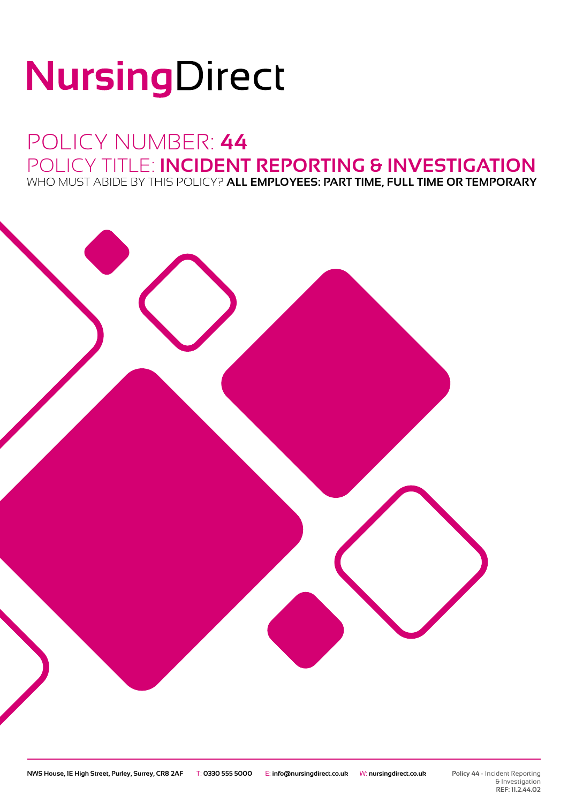# NursingDirect

## POLICY NUMBER: **44** POLICY TITLE: **INCIDENT REPORTING & INVESTIGATION** WHO MUST ABIDE BY THIS POLICY? **ALL EMPLOYEES: PART TIME, FULL TIME OR TEMPORARY**